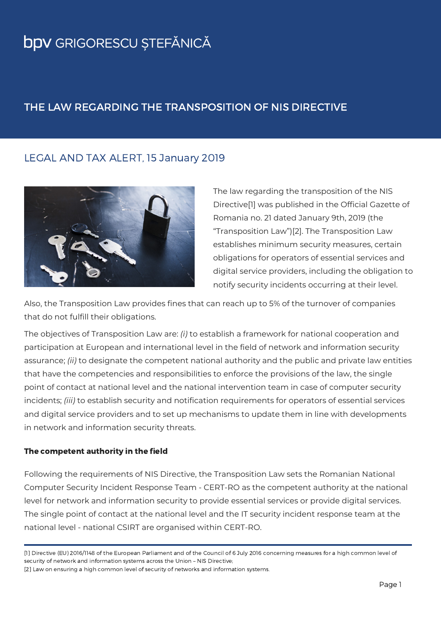### THE LAW REGARDING THE TRANSPOSITION OF NIS DIRECTIVE

### LEGAL AND TAX ALERT, 15 January 2019



The law regarding the transposition of the NIS Directive[1] was published in the Official Gazette of Romania no. 21 dated January 9th, 2019 (the "Transposition Law")[2]. The Transposition Law establishes minimum security measures, certain obligations for operators of essential services and digital service providers, including the obligation to notify security incidents occurring at their level.

Also, the Transposition Law provides fines that can reach up to 5% of the turnover of companies that do not fulfill their obligations.

The objectives of Transposition Law are: *(i)* to establish a framework for national cooperation and participation at European and international level in the field of network and information security assurance; *(ii)* to designate the competent national authority and the public and private law entities that have the competencies and responsibilities to enforce the provisions of the law, the single point of contact at national level and the national intervention team in case of computer security incidents; *(iii)* to establish security and notification requirements for operators of essential services and digital service providers and to set up mechanisms to update them in line with developments in network and information security threats.

#### The competent authority in the field

Following the requirements of NIS Directive, the Transposition Law sets the Romanian National Computer Security Incident Response Team - CERT-RO as the competent authority at the national level for network and information security to provide essential services or provide digital services. The single point of contact at the national level and the IT security incident response team at the national level - national CSIRT are organised within CERT-RO.

[1] Directive (EU) 2016/1148 of the European Parliament and of the Council of 6 July 2016 concerning measures for a high common level of security of network and information systems across the Union – NIS Directive;

[2] Law on ensuring a high common level of security of networks and information systems.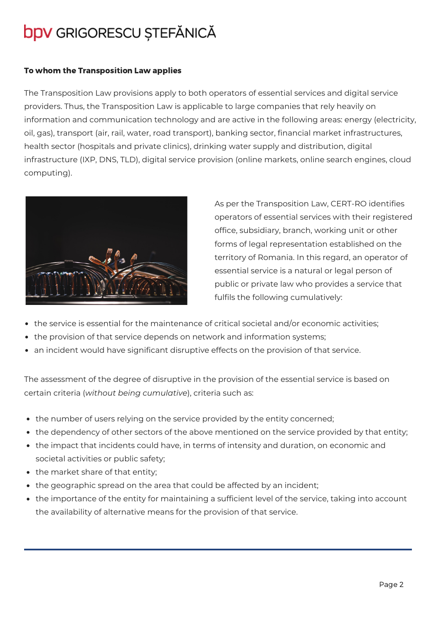#### To whom the Transposition Law applies

The Transposition Law provisions apply to both operators of essential services and digital service providers. Thus, the Transposition Law is applicable to large companies that rely heavily on information and communication technology and are active in the following areas: energy (electricity, oil, gas), transport (air, rail, water, road transport), banking sector, financial market infrastructures, health sector (hospitals and private clinics), drinking water supply and distribution, digital infrastructure (IXP, DNS, TLD), digital service provision (online markets, online search engines, cloud computing).



As per the Transposition Law, CERT-RO identifies operators of essential services with their registered office, subsidiary, branch, working unit or other forms of legal representation established on the territory of Romania. In this regard, an operator of essential service is a natural or legal person of public or private law who provides a service that fulfils the following cumulatively:

- the service is essential for the maintenance of critical societal and/or economic activities;
- the provision of that service depends on network and information systems;
- an incident would have significant disruptive effects on the provision of that service.

The assessment of the degree of disruptive in the provision of the essential service is based on certain criteria (*without being cumulative*), criteria such as:

- the number of users relying on the service provided by the entity concerned;
- the dependency of other sectors of the above mentioned on the service provided by that entity;
- the impact that incidents could have, in terms of intensity and duration, on economic and societal activities or public safety;
- the market share of that entity;
- the geographic spread on the area that could be affected by an incident;
- the importance of the entity for maintaining a sufficient level of the service, taking into account the availability of alternative means for the provision of that service.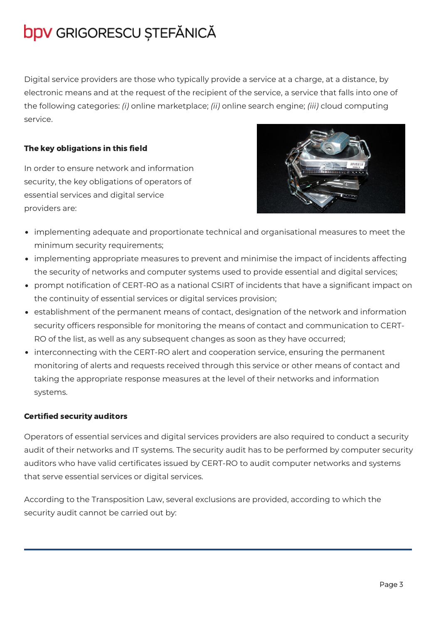Digital service providers are those who typically provide a service at a charge, at a distance, by electronic means and at the request of the recipient of the service, a service that falls into one of the following categories: *(i)* online marketplace; *(ii)* online search engine; *(iii)* cloud computing service.

#### The key obligations in this field

In order to ensure network and information security, the key obligations of operators of essential services and digital service providers are:



- implementing adequate and proportionate technical and organisational measures to meet the minimum security requirements;
- implementing appropriate measures to prevent and minimise the impact of incidents affecting the security of networks and computer systems used to provide essential and digital services;
- prompt notification of CERT-RO as a national CSIRT of incidents that have a significant impact on the continuity of essential services or digital services provision;
- establishment of the permanent means of contact, designation of the network and information security officers responsible for monitoring the means of contact and communication to CERT-RO of the list, as well as any subsequent changes as soon as they have occurred;
- interconnecting with the CERT-RO alert and cooperation service, ensuring the permanent monitoring of alerts and requests received through this service or other means of contact and taking the appropriate response measures at the level of their networks and information systems.

#### Certified security auditors

Operators of essential services and digital services providers are also required to conduct a security audit of their networks and IT systems. The security audit has to be performed by computer security auditors who have valid certificates issued by CERT-RO to audit computer networks and systems that serve essential services or digital services.

According to the Transposition Law, several exclusions are provided, according to which the security audit cannot be carried out by: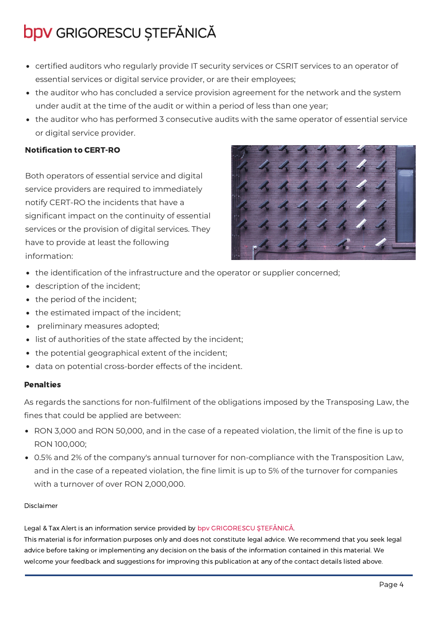- certified auditors who regularly provide IT security services or CSRIT services to an operator of essential services or digital service provider, or are their employees;
- the auditor who has concluded a service provision agreement for the network and the system under audit at the time of the audit or within a period of less than one year;
- the auditor who has performed 3 consecutive audits with the same operator of essential service or digital service provider.

### Notification to CERT-RO

Both operators of essential service and digital service providers are required to immediately notify CERT-RO the incidents that have a significant impact on the continuity of essential services or the provision of digital services. They have to provide at least the following information:



- the identification of the infrastructure and the operator or supplier concerned;
- description of the incident;
- the period of the incident;
- the estimated impact of the incident;
- preliminary measures adopted;
- list of authorities of the state affected by the incident;
- the potential geographical extent of the incident;
- data on potential cross-border effects of the incident.

#### **Penalties**

As regards the sanctions for non-fulfilment of the obligations imposed by the Transposing Law, the fines that could be applied are between:

- RON 3,000 and RON 50,000, and in the case of a repeated violation, the limit of the fine is up to RON 100,000;
- 0.5% and 2% of the company's annual turnover for non-compliance with the Transposition Law, and in the case of a repeated violation, the fine limit is up to 5% of the turnover for companies with a turnover of over RON 2,000,000.

#### Disclaimer

Legal & Tax Alert is an information service provided by bpv GRIGORESCU ŞTEFĂNICĂ. This material is for information purposes only and does not constitute legal advice. We recommend that you seek legal advice before taking or implementing any decision on the basis of the information contained in this material. We welcome your feedback and suggestions for improving this publication at any of the contact details listed above.